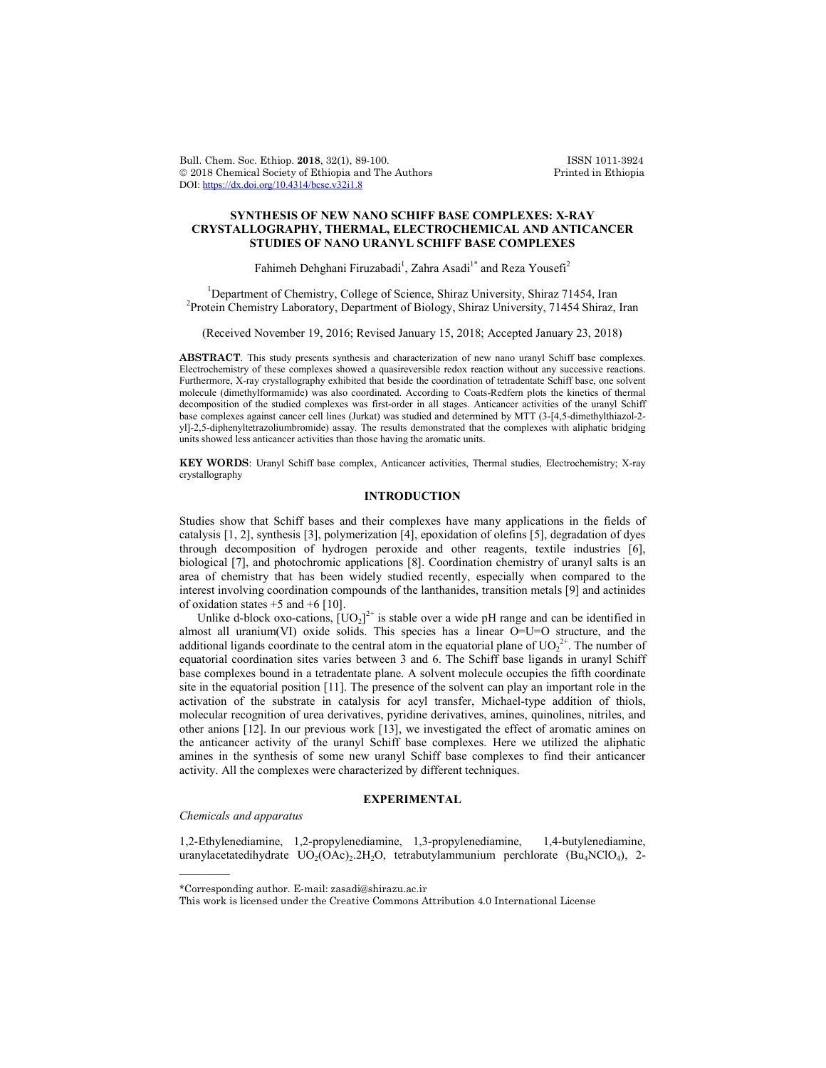Bull. Chem. Soc. Ethiop. 2018, 32(1), 89-100. ISSN 1011-3924<br>
© 2018 Chemical Society of Ethiopia and The Authors Printed in Ethiopia  $© 2018 Chemical Society of Ethiopia and The Authors$ DOI: https://dx.doi.org/10.4314/bcse.v32i1.8

## **SYNTHESIS OF NEW NANO SCHIFF BASE COMPLEXES: X-RAY CRYSTALLOGRAPHY, THERMAL, ELECTROCHEMICAL AND ANTICANCER STUDIES OF NANO URANYL SCHIFF BASE COMPLEXES**

Fahimeh Dehghani Firuzabadi<sup>1</sup>, Zahra Asadi<sup>1\*</sup> and Reza Yousefi<sup>2</sup>

<sup>1</sup> Department of Chemistry, College of Science, Shiraz University, Shiraz 71454, Iran <sup>2</sup> Protein Chemistry I sharptony Department of Piology, Shiraz University, 71454 Shiraz <sup>2</sup> Protein Chemistry Laboratory, Department of Biology, Shiraz University, 71454 Shiraz, Iran

(Received November 19, 2016; Revised January 15, 2018; Accepted January 23, 2018)

**ABSTRACT**. This study presents synthesis and characterization of new nano uranyl Schiff base complexes. Electrochemistry of these complexes showed a quasireversible redox reaction without any successive reactions. Furthermore, X-ray crystallography exhibited that beside the coordination of tetradentate Schiff base, one solvent molecule (dimethylformamide) was also coordinated. According to Coats-Redfern plots the kinetics of thermal decomposition of the studied complexes was first-order in all stages. Anticancer activities of the uranyl Schiff base complexes against cancer cell lines (Jurkat) was studied and determined by MTT (3-[4,5-dimethylthiazol-2 yl]-2,5-diphenyltetrazoliumbromide) assay. The results demonstrated that the complexes with aliphatic bridging units showed less anticancer activities than those having the aromatic units.

**KEY WORDS**: Uranyl Schiff base complex, Anticancer activities, Thermal studies, Electrochemistry; X-ray crystallography

# **INTRODUCTION**

Studies show that Schiff bases and their complexes have many applications in the fields of catalysis [1, 2], synthesis [3], polymerization [4], epoxidation of olefins [5], degradation of dyes through decomposition of hydrogen peroxide and other reagents, textile industries [6], biological [7], and photochromic applications [8]. Coordination chemistry of uranyl salts is an area of chemistry that has been widely studied recently, especially when compared to the interest involving coordination compounds of the lanthanides, transition metals [9] and actinides of oxidation states  $+5$  and  $+6$  [10].

Unlike d-block oxo-cations,  $[UO_2]^{2+}$  is stable over a wide pH range and can be identified in almost all uranium(VI) oxide solids. This species has a linear  $O=U=O$  structure, and the additional ligands coordinate to the central atom in the equatorial plane of  $UO_2^{2^+}$ . The number of equatorial coordination sites varies between 3 and 6. The Schiff base ligands in uranyl Schiff base complexes bound in a tetradentate plane. A solvent molecule occupies the fifth coordinate site in the equatorial position [11]. The presence of the solvent can play an important role in the activation of the substrate in catalysis for acyl transfer, Michael-type addition of thiols, molecular recognition of urea derivatives, pyridine derivatives, amines, quinolines, nitriles, and other anions [12]. In our previous work [13], we investigated the effect of aromatic amines on the anticancer activity of the uranyl Schiff base complexes. Here we utilized the aliphatic amines in the synthesis of some new uranyl Schiff base complexes to find their anticancer activity. All the complexes were characterized by different techniques.

## **EXPERIMENTAL**

## *Chemicals and apparatus*

 $\overline{\phantom{a}}$ 

1,2-Ethylenediamine, 1,2-propylenediamine, 1,3-propylenediamine, 1,4-butylenediamine, uranylacetatedihydrate  $UO<sub>2</sub>(OAC)$ , 2H<sub>2</sub>O, tetrabutylammunium perchlorate (Bu<sub>4</sub>NClO<sub>4</sub>), 2-

<sup>\*</sup>Corresponding author. E-mail: zasadi@shirazu.ac.ir

This work is licensed under the Creative Commons Attribution 4.0 International License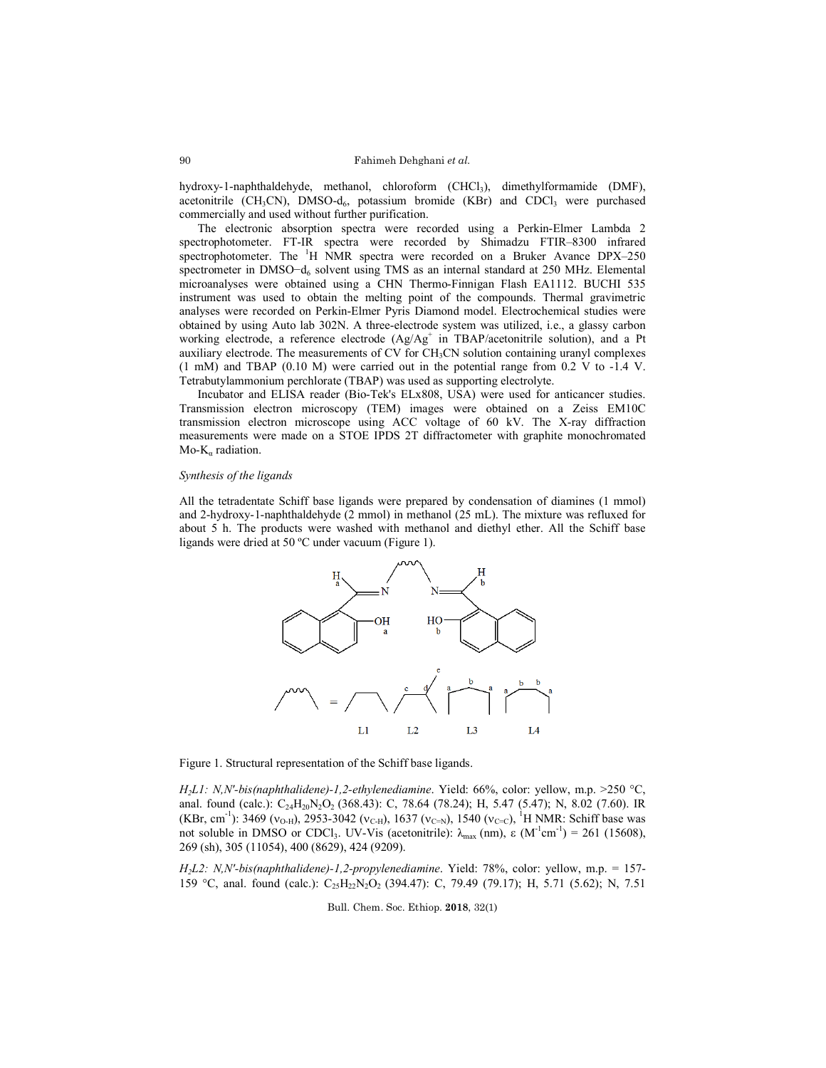hydroxy-1-naphthaldehyde, methanol, chloroform (CHCl3), dimethylformamide (DMF), acetonitrile  $(CH_3CN)$ , DMSO-d<sub>6</sub>, potassium bromide (KBr) and CDCl<sub>3</sub> were purchased commercially and used without further purification.

The electronic absorption spectra were recorded using a Perkin-Elmer Lambda 2 spectrophotometer. FT-IR spectra were recorded by Shimadzu FTIR–8300 infrared spectrophotometer. The <sup>1</sup>H NMR spectra were recorded on a Bruker Avance DPX-250 spectrometer in DMSO−d<sub>6</sub> solvent using TMS as an internal standard at 250 MHz. Elemental microanalyses were obtained using a CHN Thermo-Finnigan Flash EA1112. BUCHI 535 instrument was used to obtain the melting point of the compounds. Thermal gravimetric analyses were recorded on Perkin-Elmer Pyris Diamond model. Electrochemical studies were obtained by using Auto lab 302N. A three-electrode system was utilized, i.e., a glassy carbon working electrode, a reference electrode (Ag/Ag<sup>+</sup> in TBAP/acetonitrile solution), and a Pt auxiliary electrode. The measurements of  $CV$  for  $CH<sub>3</sub>CN$  solution containing uranyl complexes  $(1 \text{ mM})$  and TBAP  $(0.10 \text{ M})$  were carried out in the potential range from 0.2 V to  $-1.4$  V. Tetrabutylammonium perchlorate (TBAP) was used as supporting electrolyte.

Incubator and ELISA reader (Bio-Tek's ELx808, USA) were used for anticancer studies. Transmission electron microscopy (TEM) images were obtained on a Zeiss EM10C transmission electron microscope using ACC voltage of 60 kV. The X-ray diffraction measurements were made on a STOE IPDS 2T diffractometer with graphite monochromated Mo- $K_{\alpha}$  radiation.

### *Synthesis of the ligands*

All the tetradentate Schiff base ligands were prepared by condensation of diamines (1 mmol) and 2-hydroxy-1-naphthaldehyde (2 mmol) in methanol (25 mL). The mixture was refluxed for about 5 h. The products were washed with methanol and diethyl ether. All the Schiff base ligands were dried at 50 ºC under vacuum (Figure 1).



Figure 1. Structural representation of the Schiff base ligands.

*H2L1: N,N'-bis(naphthalidene)-1,2-ethylenediamine*. Yield: 66%, color: yellow, m.p. >250 C, anal. found (calc.): C<sub>24</sub>H<sub>20</sub>N<sub>2</sub>O<sub>2</sub> (368.43): C, 78.64 (78.24); H, 5.47 (5.47); N, 8.02 (7.60). IR (KBr, cm<sup>-1</sup>): 3469 ( $v_{O-H}$ ), 2953-3042 ( $v_{C-H}$ ), 1637 ( $v_{C=N}$ ), 1540 ( $v_{C-C}$ ), <sup>1</sup>H NMR: Schiff base was not soluble in DMSO or CDCl<sub>3</sub>. UV-Vis (acetonitrile):  $\lambda_{\text{max}}$  (nm), ε (M<sup>-1</sup>cm<sup>-1</sup>) = 261 (15608), 269 (sh), 305 (11054), 400 (8629), 424 (9209).

*H2L2: N,N'-bis(naphthalidene)-1,2-propylenediamine*. Yield: 78%, color: yellow, m.p. = 157- 159 °C, anal. found (calc.): C<sub>25</sub>H<sub>22</sub>N<sub>2</sub>O<sub>2</sub> (394.47): C, 79.49 (79.17); H, 5.71 (5.62); N, 7.51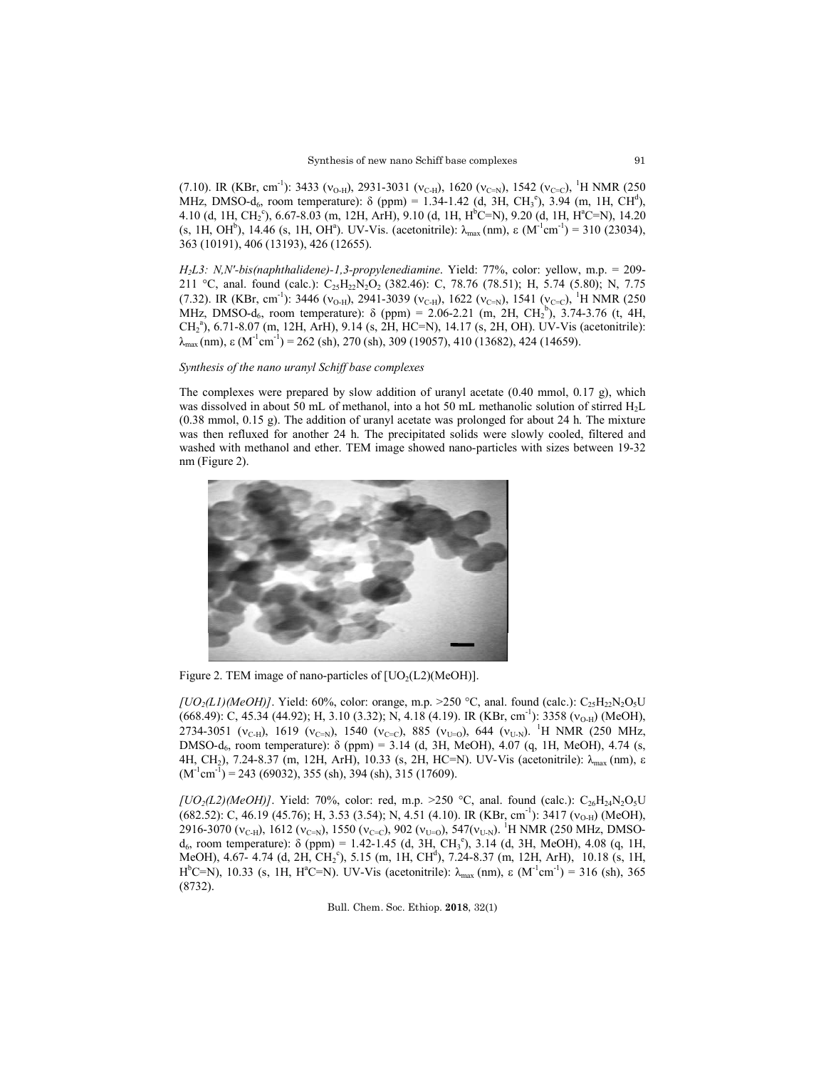(7.10). IR (KBr, cm<sup>-1</sup>): 3433 ( $v_{O-H}$ ), 2931-3031 ( $v_{C-H}$ ), 1620 ( $v_{C=N}$ ), 1542 ( $v_{C-C}$ ), <sup>1</sup>H NMR (250 MHz, DMSO-d<sub>6</sub>, room temperature):  $\delta$  (ppm) = 1.34-1.42 (d, 3H, CH<sub>3</sub><sup>e</sup>), 3.94 (m, 1H, CH<sup>d</sup>), 4.10 (d, 1H, CH<sub>2</sub><sup>c</sup>), 6.67-8.03 (m, 12H, ArH), 9.10 (d, 1H, H<sup>b</sup>C=N), 9.20 (d, 1H, H<sup>a</sup>C=N), 14.20 (s, 1H, OH<sup>b</sup>), 14.46 (s, 1H, OH<sup>a</sup>). UV-Vis. (acetonitrile):  $\lambda_{\text{max}}$  (nm),  $\varepsilon$  (M<sup>-1</sup>cm<sup>-1</sup>) = 310 (23034), 363 (10191), 406 (13193), 426 (12655).

*H2L3: N,N'-bis(naphthalidene)-1,3-propylenediamine*. Yield: 77%, color: yellow, m.p. = 209- 211 °C, anal. found (calc.):  $C_{25}H_{22}N_{2}O_{2}$  (382.46): C, 78.76 (78.51); H, 5.74 (5.80); N, 7.75 (7.32). IR (KBr, cm<sup>-1</sup>): 3446 ( $v_{O-H}$ ), 2941-3039 ( $v_{C-H}$ ), 1622 ( $v_{C=N}$ ), 1541 ( $v_{C=C}$ ), <sup>1</sup>H NMR (250 MHz, DMSO-d<sub>6</sub>, room temperature):  $\delta$  (ppm) = 2.06-2.21 (m, 2H, CH<sub>2</sub><sup>b</sup>), 3.74-3.76 (t, 4H, CH2 a ), 6.71-8.07 (m, 12H, ArH), 9.14 (s, 2H, HC=N), 14.17 (s, 2H, OH). UV-Vis (acetonitrile):  $\lambda_{\text{max}}$ (nm),  $\varepsilon$  (M<sup>-1</sup>cm<sup>-1</sup>) = 262 (sh), 270 (sh), 309 (19057), 410 (13682), 424 (14659).

*Synthesis of the nano uranyl Schiff base complexes*

The complexes were prepared by slow addition of uranyl acetate (0.40 mmol, 0.17 g), which was dissolved in about 50 mL of methanol, into a hot 50 mL methanolic solution of stirred H<sub>2</sub>L (0.38 mmol, 0.15 g). The addition of uranyl acetate was prolonged for about 24 h. The mixture was then refluxed for another 24 h. The precipitated solids were slowly cooled, filtered and washed with methanol and ether. TEM image showed nano-particles with sizes between 19-32 nm (Figure 2).



Figure 2. TEM image of nano-particles of  $[UO<sub>2</sub>(L2)(MeOH)]$ .

[ $UO_2(L1)(MeOH)$ ]. Yield: 60%, color: orange, m.p. >250 °C, anal. found (calc.):  $C_{25}H_{22}N_2O_5U$ (668.49): C, 45.34 (44.92); H, 3.10 (3.32); N, 4.18 (4.19). IR (KBr, cm<sup>-1</sup>): 3358 (v<sub>O-H</sub>) (MeOH), 2734-3051 (v<sub>C-H</sub>), 1619 (v<sub>C=N</sub>), 1540 (v<sub>C=C</sub>), 885 (v<sub>U=O</sub>), 644 (v<sub>U-N</sub>). <sup>1</sup>H NMR (250 MHz, DMSO-d<sub>6</sub>, room temperature): δ (ppm) = 3.14 (d, 3H, MeOH), 4.07 (q, 1H, MeOH), 4.74 (s, 4H, CH<sub>2</sub>), 7.24-8.37 (m, 12H, ArH), 10.33 (s, 2H, HC=N). UV-Vis (acetonitrile): λ<sub>max</sub> (nm), ε  $(M^{-1}cm^{-1})$  = 243 (69032), 355 (sh), 394 (sh), 315 (17609).

 $[UO_2(L2)(MeOH)]$ . Yield: 70%, color: red, m.p. >250 °C, anal. found (calc.): C<sub>26</sub>H<sub>24</sub>N<sub>2</sub>O<sub>5</sub>U (682.52): C, 46.19 (45.76); H, 3.53 (3.54); N, 4.51 (4.10). IR (KBr, cm<sup>-1</sup>): 3417 ( $v_{O-H}$ ) (MeOH), 2916-3070 (v<sub>C-H</sub>), 1612 (v<sub>C=N</sub>), 1550 (v<sub>C=C</sub>), 902 (v<sub>U=O</sub>), 547(v<sub>U-N</sub>). <sup>1</sup>H NMR (250 MHz, DMSO $d_6$ , room temperature): δ (ppm) = 1.42-1.45 (d, 3H, CH<sub>3</sub><sup>e</sup>), 3.14 (d, 3H, MeOH), 4.08 (q, 1H, MeOH), 4.67- 4.74 (d, 2H, CH<sub>2</sub><sup>c</sup>), 5.15 (m, 1H, CH<sup>d</sup>), 7.24-8.37 (m, 12H, ArH), 10.18 (s, 1H, H<sup>b</sup>C=N), 10.33 (s, 1H, H<sup>a</sup>C=N). UV-Vis (acetonitrile): λ<sub>max</sub> (nm), ε (M<sup>-1</sup>cm<sup>-1</sup>) = 316 (sh), 365 (8732).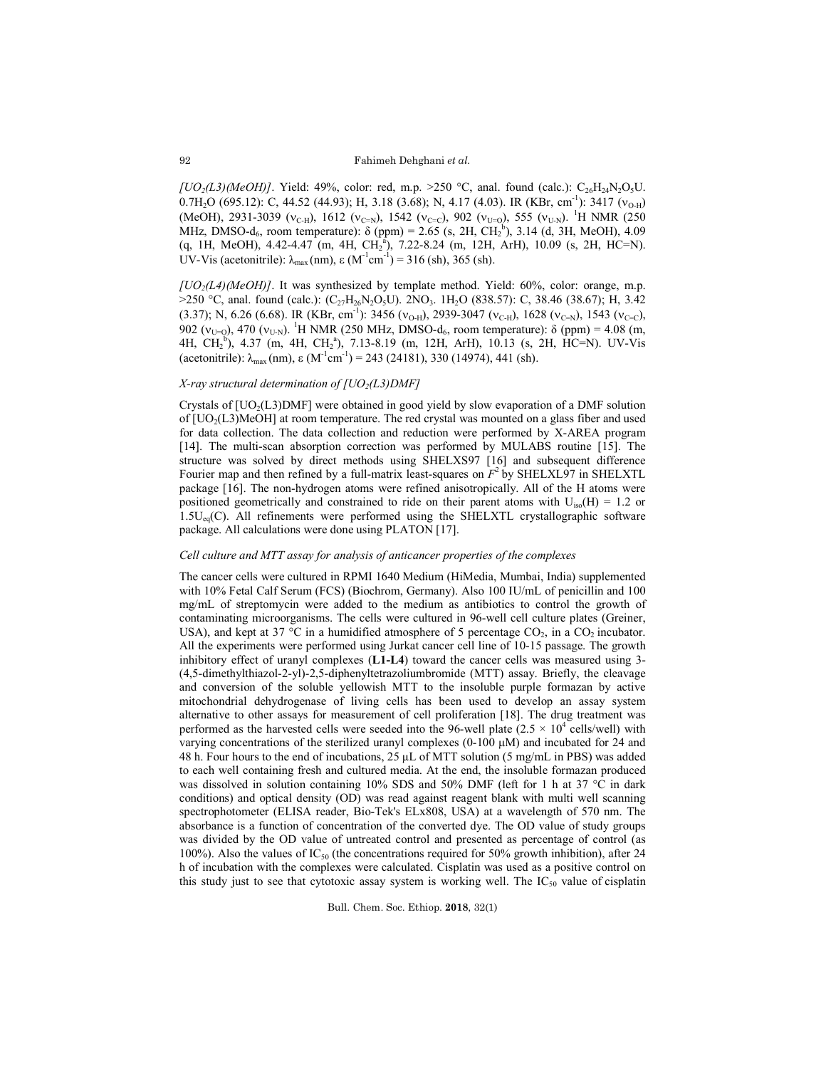$[UO_2(L3)(MeOH)]$ . Yield: 49%, color: red, m.p. >250 °C, anal. found (calc.): C<sub>26</sub>H<sub>24</sub>N<sub>2</sub>O<sub>5</sub>U. 0.7H<sub>2</sub>O (695.12): C, 44.52 (44.93); H, 3.18 (3.68); N, 4.17 (4.03). IR (KBr, cm<sup>-1</sup>): 3417 ( $v_{O-H}$ ) (MeOH), 2931-3039 ( $v_{C-H}$ ), 1612 ( $v_{C=N}$ ), 1542 ( $v_{C=C}$ ), 902 ( $v_{U=O}$ ), 555 ( $v_{U=N}$ ). <sup>1</sup>H NMR (250 MHz, DMSO-d<sub>6</sub>, room temperature):  $\delta$  (ppm) = 2.65 (s, 2H, CH<sub>2</sub><sup>b</sup>), 3.14 (d, 3H, MeOH), 4.09  $(q, 1H, MeOH), 4.42-4.47 (m, 4H, CH<sub>2</sub><sup>a</sup>), 7.22-8.24 (m, 12H, ArH), 10.09 (s, 2H, HC=N).$ UV-Vis (acetonitrile):  $\lambda_{\text{max}}$  (nm),  $\varepsilon$  (M<sup>-1</sup>cm<sup>-1</sup>) = 316 (sh), 365 (sh).

*[UO2(L4)(MeOH)]*. It was synthesized by template method. Yield: 60%, color: orange, m.p.  $>$ 250 °C, anal. found (calc.): (C<sub>27</sub>H<sub>26</sub>N<sub>2</sub>O<sub>5</sub>U). 2NO<sub>3</sub>. 1H<sub>2</sub>O (838.57): C, 38.46 (38.67); H, 3.42 (3.37); N, 6.26 (6.68). IR (KBr, cm<sup>-1</sup>): 3456 ( $v_{O-H}$ ), 2939-3047 ( $v_{C-H}$ ), 1628 ( $v_{C=N}$ ), 1543 ( $v_{C=C}$ ), 902 ( $v_{U=Q}$ ), 470 ( $v_{U=N}$ ). <sup>1</sup>H NMR (250 MHz, DMSO-d<sub>6</sub>, room temperature): δ (ppm) = 4.08 (m, 4H, CH<sub>2</sub><sup>b</sup>), 4.37 (m, 4H, CH<sub>2</sub><sup>a</sup>), 7.13-8.19 (m, 12H, ArH), 10.13 (s, 2H, HC=N). UV-Vis (acetonitrile):  $\lambda_{\text{max}}$ (nm),  $\varepsilon$  (M<sup>-1</sup>cm<sup>-1</sup>) = 243 (24181), 330 (14974), 441 (sh).

#### *X-ray structural determination of [UO2(L3)DMF]*

Crystals of  $[UO<sub>2</sub>(L3)DMF]$  were obtained in good yield by slow evaporation of a DMF solution of  $[UO<sub>2</sub>(L3)$ MeOH] at room temperature. The red crystal was mounted on a glass fiber and used for data collection. The data collection and reduction were performed by X-AREA program [14]. The multi-scan absorption correction was performed by MULABS routine [15]. The structure was solved by direct methods using SHELXS97 [16] and subsequent difference Fourier map and then refined by a full-matrix least-squares on  $F^2$  by SHELXL97 in SHELXTL package [16]. The non-hydrogen atoms were refined anisotropically. All of the H atoms were positioned geometrically and constrained to ride on their parent atoms with  $U_{iso}(H) = 1.2$  or  $1.5U_{eq}(C)$ . All refinements were performed using the SHELXTL crystallographic software package. All calculations were done using PLATON [17].

# *Cell culture and MTT assay for analysis of anticancer properties of the complexes*

The cancer cells were cultured in RPMI 1640 Medium (HiMedia, Mumbai, India) supplemented with 10% Fetal Calf Serum (FCS) (Biochrom, Germany). Also 100 IU/mL of penicillin and 100 mg/mL of streptomycin were added to the medium as antibiotics to control the growth of contaminating microorganisms. The cells were cultured in 96-well cell culture plates (Greiner, USA), and kept at 37 °C in a humidified atmosphere of 5 percentage  $CO<sub>2</sub>$ , in a  $CO<sub>2</sub>$  incubator. All the experiments were performed using Jurkat cancer cell line of 10-15 passage. The growth inhibitory effect of uranyl complexes (**L1-L4**) toward the cancer cells was measured using 3- (4,5-dimethylthiazol-2-yl)-2,5-diphenyltetrazoliumbromide (MTT) assay. Briefly, the cleavage and conversion of the soluble yellowish MTT to the insoluble purple formazan by active mitochondrial dehydrogenase of living cells has been used to develop an assay system alternative to other assays for measurement of cell proliferation [18]. The drug treatment was performed as the harvested cells were seeded into the 96-well plate ( $2.5 \times 10^4$  cells/well) with varying concentrations of the sterilized uranyl complexes  $(0-100 \mu)$  and incubated for 24 and 48 h. Four hours to the end of incubations, 25 μL of MTT solution (5 mg/mL in PBS) was added to each well containing fresh and cultured media. At the end, the insoluble formazan produced was dissolved in solution containing 10% SDS and 50% DMF (left for 1 h at 37 °C in dark conditions) and optical density (OD) was read against reagent blank with multi well scanning spectrophotometer (ELISA reader, Bio-Tek's ELx808, USA) at a wavelength of 570 nm. The absorbance is a function of concentration of the converted dye. The OD value of study groups was divided by the OD value of untreated control and presented as percentage of control (as 100%). Also the values of  $IC_{50}$  (the concentrations required for 50% growth inhibition), after 24 h of incubation with the complexes were calculated. Cisplatin was used as a positive control on this study just to see that cytotoxic assay system is working well. The  $IC_{50}$  value of cisplatin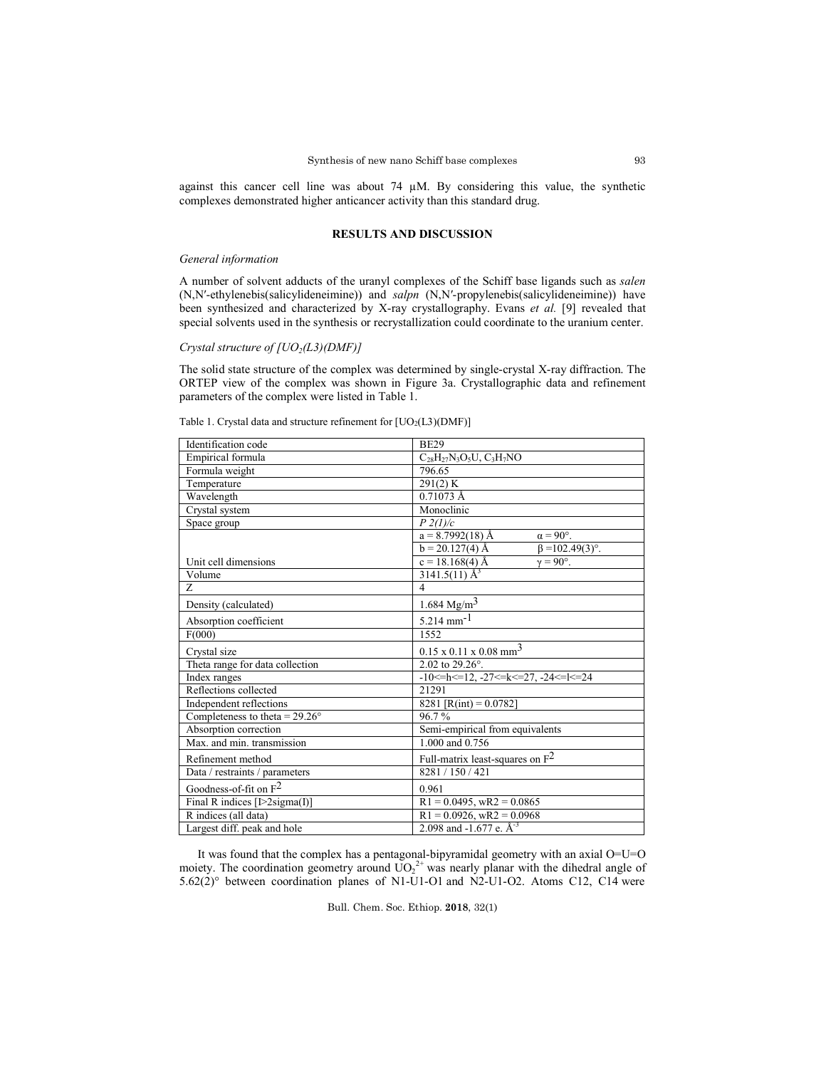against this cancer cell line was about 74 µM. By considering this value, the synthetic complexes demonstrated higher anticancer activity than this standard drug.

## **RESULTS AND DISCUSSION**

## *General information*

A number of solvent adducts of the uranyl complexes of the Schiff base ligands such as *salen* (N,N′-ethylenebis(salicylideneimine)) and *salpn* (N,N′-propylenebis(salicylideneimine)) have been synthesized and characterized by X-ray crystallography. Evans *et al.* [9] revealed that special solvents used in the synthesis or recrystallization could coordinate to the uranium center.

# *Crystal structure of [UO<sub>2</sub>(L3)(DMF)]*

The solid state structure of the complex was determined by single-crystal X-ray diffraction. The ORTEP view of the complex was shown in Figure 3a. Crystallographic data and refinement parameters of the complex were listed in Table 1.

| Identification code                   | <b>BE29</b>                                 |  |  |
|---------------------------------------|---------------------------------------------|--|--|
| Empirical formula                     | $C_{28}H_{27}N_3O_5U$ , $C_3H_7NO$          |  |  |
| Formula weight                        | 796.65                                      |  |  |
| Temperature                           | 291(2) K                                    |  |  |
| Wavelength                            | $0.71073$ Å                                 |  |  |
| Crystal system                        | Monoclinic                                  |  |  |
| Space group                           | $P\ 2(l)/c$                                 |  |  |
|                                       | $a = 8.7992(18)$ Å<br>$\alpha = 90^\circ$ . |  |  |
|                                       | $b = 20.127(4)$ Å<br>$\beta = 102.49(3)$ °. |  |  |
| Unit cell dimensions                  | $c = 18.168(4)$ Å<br>$\gamma = 90^\circ$ .  |  |  |
| Volume                                | $3141.5(11)$ Å <sup>3</sup>                 |  |  |
| Z.                                    | $\overline{4}$                              |  |  |
| Density (calculated)                  | $1.684 \text{ Mg/m}^3$                      |  |  |
| Absorption coefficient                | $5.214$ mm <sup>-1</sup>                    |  |  |
| F(000)                                | 1552                                        |  |  |
| Crystal size                          | $0.15 \times 0.11 \times 0.08 \text{ mm}^3$ |  |  |
| Theta range for data collection       | 2.02 to $29.26^{\circ}$ .                   |  |  |
| Index ranges                          | $-10 < h < 12, -27 < k < 27, -24 < l < 24$  |  |  |
| Reflections collected                 | 21291                                       |  |  |
| Independent reflections               | 8281 [R(int) = $0.0782$ ]                   |  |  |
| Completeness to theta = $29.26^\circ$ | 96.7%                                       |  |  |
| Absorption correction                 | Semi-empirical from equivalents             |  |  |
| Max. and min. transmission            | 1,000 and 0.756                             |  |  |
| Refinement method                     | Full-matrix least-squares on $F^2$          |  |  |
| Data / restraints / parameters        | 8281/150/421                                |  |  |
| Goodness-of-fit on $F^2$              | 0.961                                       |  |  |
| Final R indices [ $1>2$ sigma(I)]     | $R1 = 0.0495$ , wR2 = 0.0865                |  |  |
| R indices (all data)                  | $R1 = 0.0926$ , $wR2 = 0.0968$              |  |  |
| Largest diff. peak and hole           | 2.098 and -1.677 e. $A^{-3}$                |  |  |

Table 1. Crystal data and structure refinement for  $[UO<sub>2</sub>(L3)(DMF)]$ 

It was found that the complex has a pentagonal-bipyramidal geometry with an axial O=U=O moiety. The coordination geometry around  $\overline{UO_2}^{2+}$  was nearly planar with the dihedral angle of 5.62(2)° between coordination planes of N1-U1-O1 and N2-U1-O2. Atoms C12, C14 were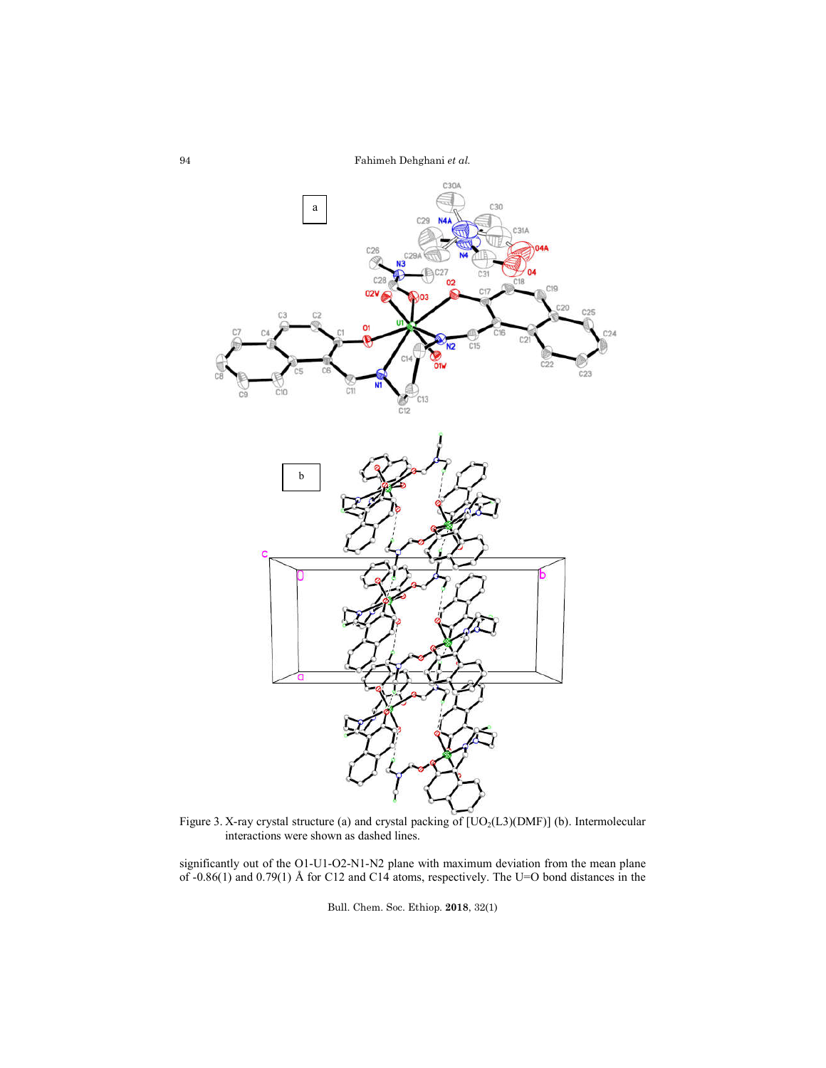

Figure 3. X-ray crystal structure (a) and crystal packing of  $[UO<sub>2</sub>(L3)(DMF)]$  (b). Intermolecular interactions were shown as dashed lines.

significantly out of the O1-U1-O2-N1-N2 plane with maximum deviation from the mean plane of -0.86(1) and 0.79(1) Å for C12 and C14 atoms, respectively. The U=O bond distances in the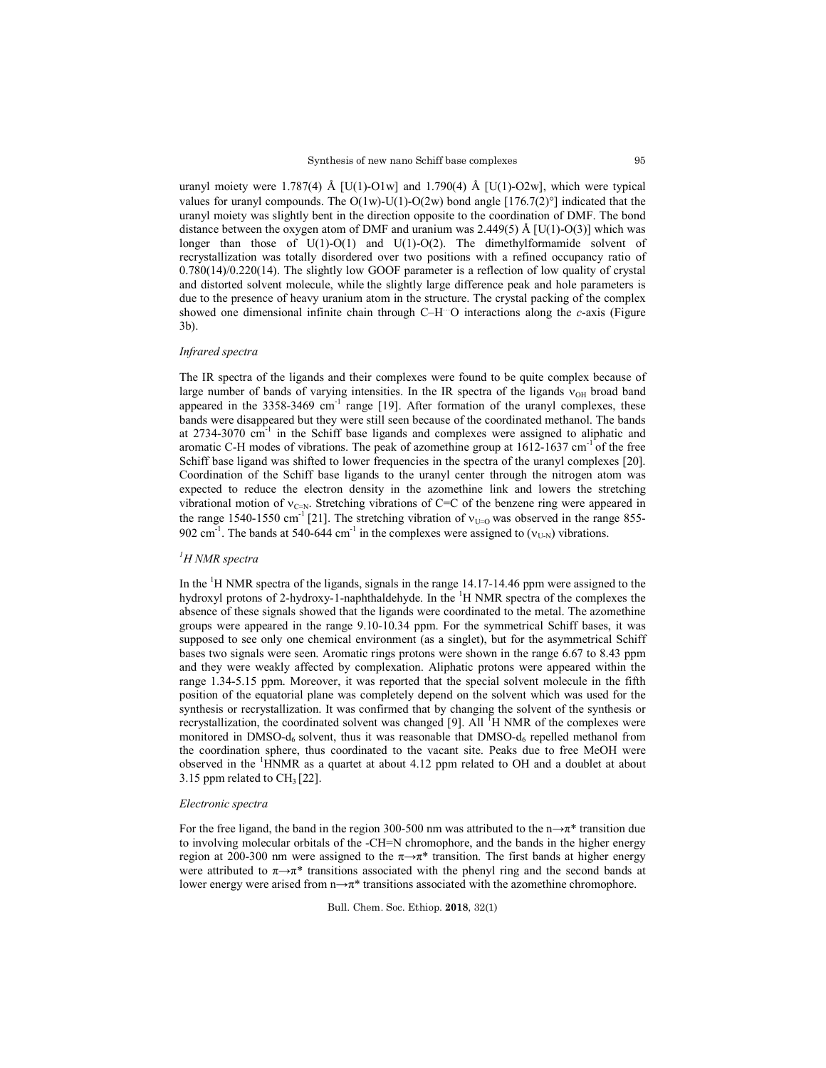uranyl moiety were 1.787(4) Å  $[U(1)-O1w]$  and 1.790(4) Å  $[U(1)-O2w]$ , which were typical values for uranyl compounds. The O(1w)-U(1)-O(2w) bond angle  $[176.7(2)^\circ]$  indicated that the uranyl moiety was slightly bent in the direction opposite to the coordination of DMF. The bond distance between the oxygen atom of DMF and uranium was 2.449(5) Å [U(1)-O(3)] which was longer than those of U(1)-O(1) and U(1)-O(2). The dimethylformamide solvent of recrystallization was totally disordered over two positions with a refined occupancy ratio of 0.780(14)/0.220(14). The slightly low GOOF parameter is a reflection of low quality of crystal and distorted solvent molecule, while the slightly large difference peak and hole parameters is due to the presence of heavy uranium atom in the structure. The crystal packing of the complex showed one dimensional infinite chain through C–H…O interactions along the *c*-axis (Figure 3b).

#### *Infrared spectra*

The IR spectra of the ligands and their complexes were found to be quite complex because of large number of bands of varying intensities. In the IR spectra of the ligands  $v_{OH}$  broad band appeared in the  $3358-3469$  cm<sup>-1</sup> range [19]. After formation of the uranyl complexes, these bands were disappeared but they were still seen because of the coordinated methanol. The bands at  $2734-3070$  cm<sup>-1</sup> in the Schiff base ligands and complexes were assigned to aliphatic and aromatic C-H modes of vibrations. The peak of azomethine group at  $1612-1637$  cm<sup>-1</sup> of the free Schiff base ligand was shifted to lower frequencies in the spectra of the uranyl complexes [20]. Coordination of the Schiff base ligands to the uranyl center through the nitrogen atom was expected to reduce the electron density in the azomethine link and lowers the stretching vibrational motion of  $v_{C=N}$ . Stretching vibrations of C=C of the benzene ring were appeared in the range 1540-1550 cm<sup>-1</sup> [21]. The stretching vibration of  $v_{U=0}$  was observed in the range 855-902 cm<sup>-1</sup>. The bands at 540-644 cm<sup>-1</sup> in the complexes were assigned to  $(v_{U-N})$  vibrations.

# *1 H NMR spectra*

In the  $\mathrm{^{1}H}$  NMR spectra of the ligands, signals in the range 14.17-14.46 ppm were assigned to the hydroxyl protons of 2-hydroxy-1-naphthaldehyde. In the <sup>1</sup>H NMR spectra of the complexes the absence of these signals showed that the ligands were coordinated to the metal. The azomethine groups were appeared in the range 9.10-10.34 ppm. For the symmetrical Schiff bases, it was supposed to see only one chemical environment (as a singlet), but for the asymmetrical Schiff bases two signals were seen. Aromatic rings protons were shown in the range 6.67 to 8.43 ppm and they were weakly affected by complexation. Aliphatic protons were appeared within the range 1.34-5.15 ppm. Moreover, it was reported that the special solvent molecule in the fifth position of the equatorial plane was completely depend on the solvent which was used for the synthesis or recrystallization. It was confirmed that by changing the solvent of the synthesis or recrystallization, the coordinated solvent was changed [9]. All  $H NMR$  of the complexes were monitored in DMSO- $d_6$  solvent, thus it was reasonable that DMSO- $d_6$  repelled methanol from the coordination sphere, thus coordinated to the vacant site. Peaks due to free MeOH were observed in the <sup>1</sup>HNMR as a quartet at about 4.12 ppm related to OH and a doublet at about 3.15 ppm related to  $CH<sub>3</sub>[22]$ .

#### *Electronic spectra*

For the free ligand, the band in the region 300-500 nm was attributed to the  $n \rightarrow \pi^*$  transition due to involving molecular orbitals of the -CH=N chromophore, and the bands in the higher energy region at 200-300 nm were assigned to the  $\pi \rightarrow \pi^*$  transition. The first bands at higher energy were attributed to  $\pi \rightarrow \pi^*$  transitions associated with the phenyl ring and the second bands at lower energy were arised from  $n \rightarrow \pi^*$  transitions associated with the azomethine chromophore.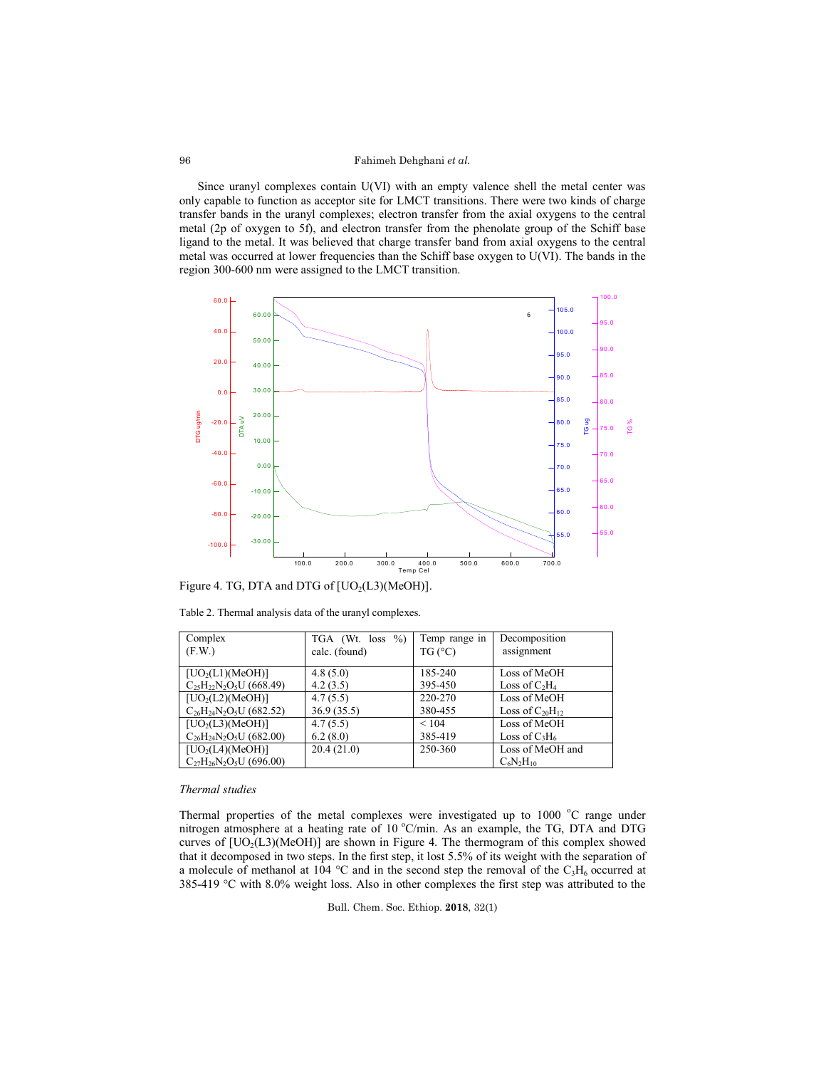### Fahimeh Dehghani *et al.*

Since uranyl complexes contain U(VI) with an empty valence shell the metal center was only capable to function as acceptor site for LMCT transitions. There were two kinds of charge transfer bands in the uranyl complexes; electron transfer from the axial oxygens to the central metal (2p of oxygen to 5f), and electron transfer from the phenolate group of the Schiff base ligand to the metal. It was believed that charge transfer band from axial oxygens to the central metal was occurred at lower frequencies than the Schiff base oxygen to U(VI). The bands in the region 300-600 nm were assigned to the LMCT transition.



Figure 4. TG, DTA and DTG of  $[UO<sub>2</sub>(L3)(MeOH)].$ 

| Complex                        | $\%$<br>TGA (Wt. loss | Temp range in   | Decomposition          |
|--------------------------------|-----------------------|-----------------|------------------------|
| (F.W.)                         | calc. (found)         | TG (°C)         | assignment             |
| [UO <sub>2</sub> (L1)(MeOH)]   | 4.8(5.0)              | 185-240         | Loss of MeOH           |
| $C_{25}H_{22}N_2O_5U(668.49)$  | 4.2(3.5)              | 395-450         | Loss of $C_2H_4$       |
| [UO <sub>2</sub> (L2)(MeOH)]   | 4.7(5.5)              | 220-270         | Loss of MeOH           |
| $C_{26}H_{24}N_2O_5U$ (682.52) | 36.9(35.5)            | 380-455         | Loss of $C_{20}H_{12}$ |
| [UO <sub>2</sub> (L3)(MeOH)]   | 4.7(5.5)              | ${}_{\leq 104}$ | Loss of MeOH           |
| $C_{26}H_{24}N_2O_5U$ (682.00) | 6.2(8.0)              | 385-419         | Loss of $C_3H_6$       |
| [UO <sub>2</sub> (L4)(MeOH)]   | 20.4(21.0)            | 250-360         | Loss of MeOH and       |
| $C_{27}H_{26}N_2O_5U$ (696.00) |                       |                 | $C_6N_2H_{10}$         |

Table 2. Thermal analysis data of the uranyl complexes.

#### *Thermal studies*

Thermal properties of the metal complexes were investigated up to 1000 °C range under nitrogen atmosphere at a heating rate of 10 °C/min. As an example, the TG, DTA and DTG curves of  $[UO<sub>2</sub>(L3)(MeOH)]$  are shown in Figure 4. The thermogram of this complex showed that it decomposed in two steps. In the first step, it lost 5.5% of its weight with the separation of a molecule of methanol at  $104$  °C and in the second step the removal of the C<sub>3</sub>H<sub>6</sub> occurred at 385-419 °C with 8.0% weight loss. Also in other complexes the first step was attributed to the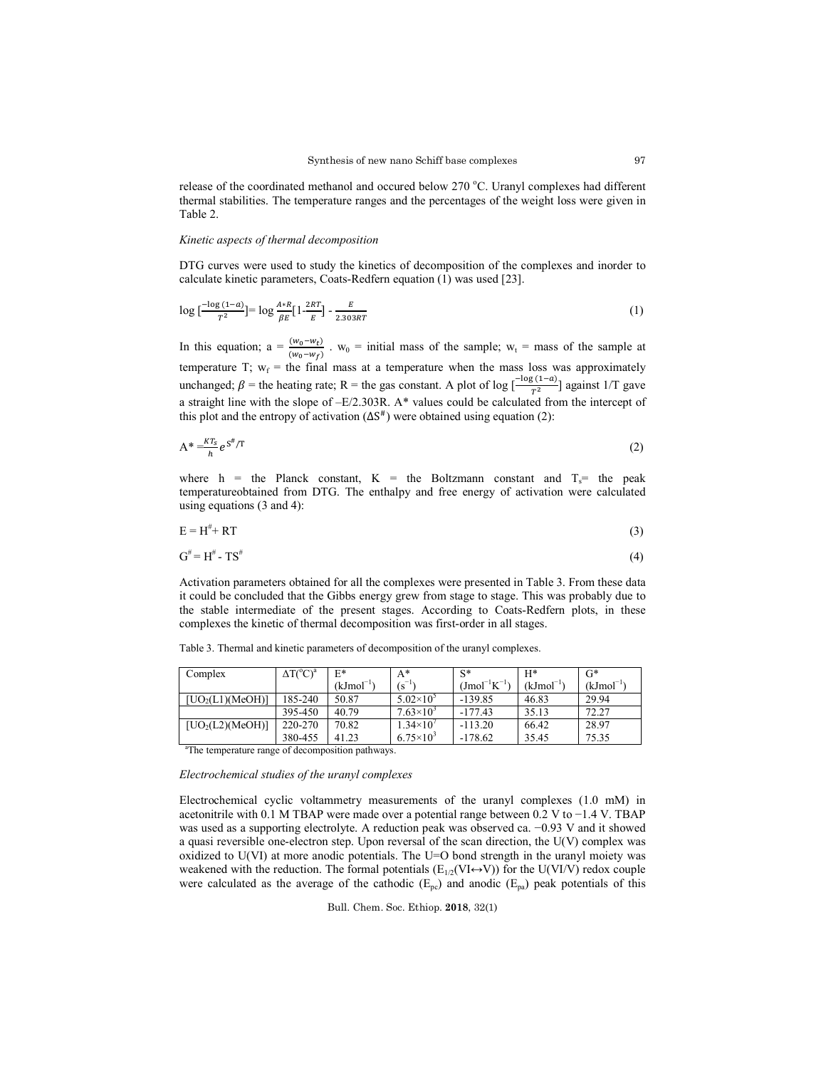release of the coordinated methanol and occured below 270 °C. Uranyl complexes had different thermal stabilities. The temperature ranges and the percentages of the weight loss were given in Table 2.

## *Kinetic aspects of thermal decomposition*

DTG curves were used to study the kinetics of decomposition of the complexes and inorder to calculate kinetic parameters, Coats-Redfern equation (1) was used [23].

$$
\log\left[\frac{-\log(1-a)}{T^2}\right] = \log\frac{A*B}{\beta E} \left[1 - \frac{2RT}{E}\right] - \frac{E}{2.303RT} \tag{1}
$$

In this equation;  $a = \frac{(w_0 - w_t)}{(w_0 - w_f)}$ .  $w_0$  = initial mass of the sample;  $w_t$  = mass of the sample at temperature T;  $w_f$  = the final mass at a temperature when the mass loss was approximately unchanged;  $\beta$  = the heating rate; R = the gas constant. A plot of log  $\left[\frac{-\log(1-a)}{T^2}\right]$  against 1/T gave a straight line with the slope of –E/2.303R. A\* values could be calculated from the intercept of this plot and the entropy of activation  $(\Delta S^{\#})$  were obtained using equation (2):

$$
A^* = \frac{kT_s}{h} e^{S^{\#}/T}
$$
 (2)

where h = the Planck constant, K = the Boltzmann constant and  $T_s$  the peak temperatureobtained from DTG. The enthalpy and free energy of activation were calculated using equations (3 and 4):

$$
E = H^* + RT \tag{3}
$$

$$
G^{\#} = H^{\#} - T S^{\#} \tag{4}
$$

Activation parameters obtained for all the complexes were presented in Table 3. From these data it could be concluded that the Gibbs energy grew from stage to stage. This was probably due to the stable intermediate of the present stages. According to Coats-Redfern plots, in these complexes the kinetic of thermal decomposition was first-order in all stages.

| Complex                      | $\Delta T(^{\circ}C)^{a}$ | $E^*$                 | $A^*$                | $S^*$                    | $H^*$          | G*                    |
|------------------------------|---------------------------|-----------------------|----------------------|--------------------------|----------------|-----------------------|
|                              |                           | (kJmol <sup>-1)</sup> | $(S^{-1})$           | $\rm (J mol^{-1} K^{-1}$ | $(kJmol^{-1})$ | (kJmol <sup>-1)</sup> |
| [UO <sub>2</sub> (L1)(MeOH)] | 185-240                   | 50.87                 | $5.02\times10^{5}$   | $-139.85$                | 46.83          | 29.94                 |
|                              | 395-450                   | 40.79                 | $7.63\times10^{3}$   | $-177.43$                | 35.13          | 72.27                 |
| [UO <sub>2</sub> (L2)(MeOH)] | 220-270                   | 70.82                 | $1.34\times10^{4}$   | $-113.20$                | 66.42          | 28.97                 |
|                              | 380-455                   | 41.23                 | $6.75 \times 10^{3}$ | $-178.62$                | 35.45          | 75.35                 |

Table 3. Thermal and kinetic parameters of decomposition of the uranyl complexes.

<sup>a</sup>The temperature range of decomposition pathways.

#### *Electrochemical studies of the uranyl complexes*

Electrochemical cyclic voltammetry measurements of the uranyl complexes (1.0 mM) in acetonitrile with 0.1 M TBAP were made over a potential range between 0.2 V to −1.4 V. TBAP was used as a supporting electrolyte. A reduction peak was observed ca. −0.93 V and it showed a quasi reversible one-electron step. Upon reversal of the scan direction, the U(V) complex was oxidized to U(VI) at more anodic potentials. The U=O bond strength in the uranyl moiety was weakened with the reduction. The formal potentials  $(E_{1/2}(VI \leftrightarrow V))$  for the U(VI/V) redox couple were calculated as the average of the cathodic ( $E_{pc}$ ) and anodic ( $E_{pa}$ ) peak potentials of this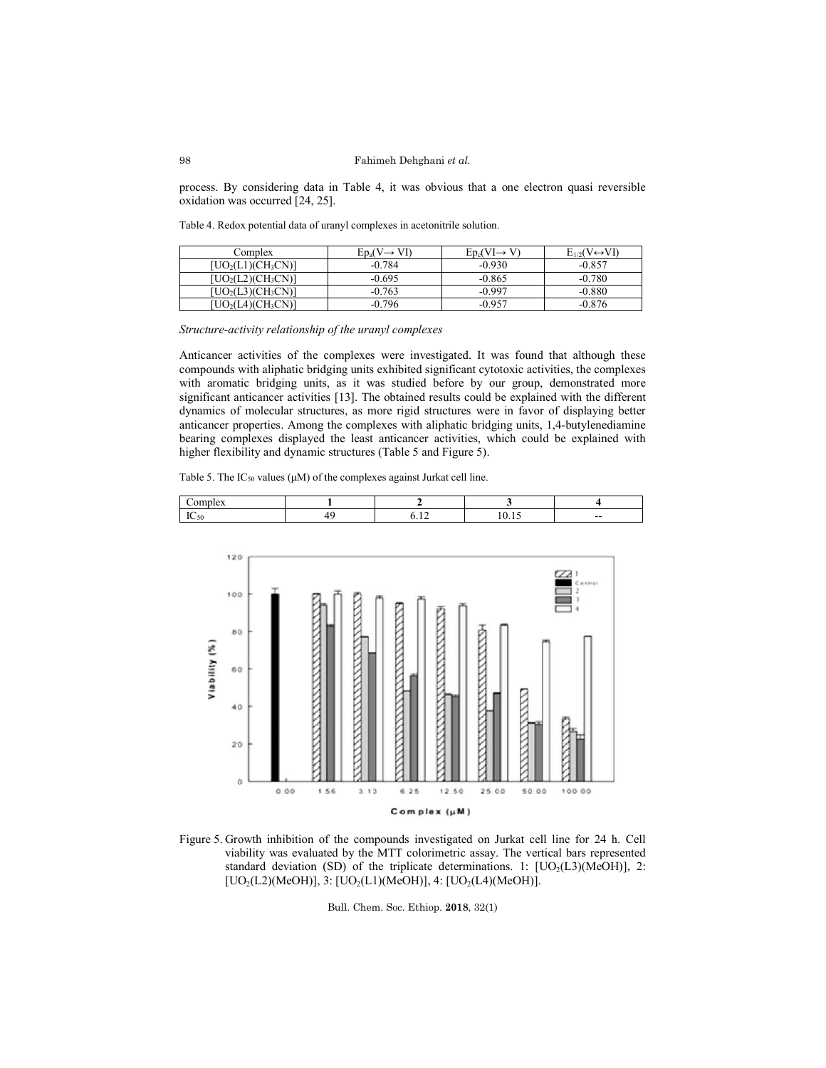process. By considering data in Table 4, it was obvious that a one electron quasi reversible oxidation was occurred [24, 25].

Table 4. Redox potential data of uranyl complexes in acetonitrile solution.

| Complex                                        | $Ep_a(V \rightarrow Y)$ | $\operatorname{\mathsf{Fn}}\nolimits\operatorname{\mathsf{N}}\nolimits\mathsf{I}\mathsf{\rightarrow} \mathsf{I}$ | $E_{1/2}(V \leftrightarrow V I)$ |
|------------------------------------------------|-------------------------|------------------------------------------------------------------------------------------------------------------|----------------------------------|
| $[UO_2(L1)(CH_3CN)]$                           | $-0.784$                | $-0.930$                                                                                                         | $-0.857$                         |
| $\text{UO}_2(\text{L2})(\text{CH}_3\text{CN})$ | $-0.695$                | $-0.865$                                                                                                         | $-0.780$                         |
| UO2(L3)(CH3CN)]                                | $-0.763$                | $-0.997$                                                                                                         | $-0.880$                         |
| DICH2CN)'<br>UO <sub>2</sub> (L4)              | $-0.796$                | $-0.957$                                                                                                         | $-0.876$                         |

Structure-activity relationship of the uranyl complexes

Anticancer activities of the complexes were investigated. It was found that although these compounds with aliphatic bridging units exhibited significant cytotoxic activities, the complexes with aromatic bridging units, as it was studied before by our group, demonstrated more significant anticancer activities [13]. The obtained results could be explained with the different dynamics of molecular structures, as more rigid structures were in favor of displaying better anticancer properties. Among the complexes with aliphatic bridging units, 1,4-butylenediamine bearing complexes displayed the least anticancer activities, which could be explained with bearing complexes displayed the least anticancer activities, virtually here flexibility and dynamic structures (Table 5 and Figure 5). as it was studied before by our group, demonstrated more [13]. The obtained results could be explained with the different es, as more rigid structures were in favor of displaying better

Table 5. The  $IC_{50}$  values ( $\mu$ M) of the complexes against Jurkat cell line.

|  |  | $- -$ |
|--|--|-------|



Figure 5. Growth inhibition of the compounds investigated on Jurkat cell line for 24 h. Cell viability was evaluated by the MTT colorimetric assay. The vertical bars represented standard deviation (SD) of the triplicate determinations. 1:  $[UO<sub>2</sub>(L3)(MeOH)]$ , 2: [ $UO<sub>2</sub>(L2)$ (MeOH)], 3: [ $UO<sub>2</sub>(L1)$ (MeOH)], 4: [ $UO<sub>2</sub>(L4)$ (MeOH)].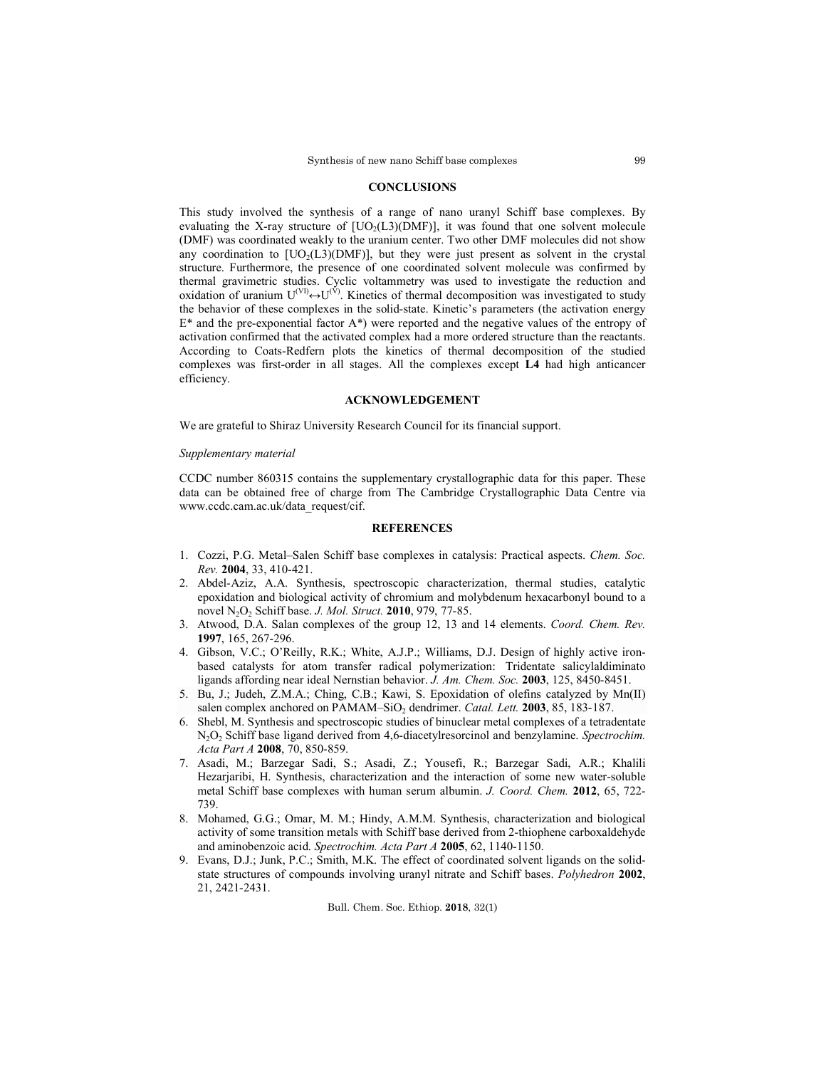#### **CONCLUSIONS**

This study involved the synthesis of a range of nano uranyl Schiff base complexes. By evaluating the X-ray structure of  $[UO<sub>2</sub>(L3)(DMF)]$ , it was found that one solvent molecule (DMF) was coordinated weakly to the uranium center. Two other DMF molecules did not show any coordination to  $[UD<sub>2</sub>(L3)(DMF)]$ , but they were just present as solvent in the crystal structure. Furthermore, the presence of one coordinated solvent molecule was confirmed by thermal gravimetric studies. Cyclic voltammetry was used to investigate the reduction and  $\alpha$ idation of uranium  $U^{(V)} \leftrightarrow U^{(V)}$ . Kinetics of thermal decomposition was investigated to study the behavior of these complexes in the solid-state. Kinetic's parameters (the activation energy  $E^*$  and the pre-exponential factor  $A^*$ ) were reported and the negative values of the entropy of activation confirmed that the activated complex had a more ordered structure than the reactants. According to Coats-Redfern plots the kinetics of thermal decomposition of the studied complexes was first-order in all stages. All the complexes except **L4** had high anticancer efficiency.

## **ACKNOWLEDGEMENT**

We are grateful to Shiraz University Research Council for its financial support.

#### *Supplementary material*

CCDC number 860315 contains the supplementary crystallographic data for this paper. These data can be obtained free of charge from The Cambridge Crystallographic Data Centre via www.ccdc.cam.ac.uk/data\_request/cif.

# **REFERENCES**

- 1. Cozzi, P.G. Metal–Salen Schiff base complexes in catalysis: Practical aspects. *Chem. Soc. Rev.* **2004**, 33, 410-421.
- 2. Abdel-Aziz, A.A. Synthesis, spectroscopic characterization, thermal studies, catalytic epoxidation and biological activity of chromium and molybdenum hexacarbonyl bound to a novel N2O2 Schiff base. *J. Mol. Struct.* **2010**, 979, 77-85.
- 3. Atwood, D.A. Salan complexes of the group 12, 13 and 14 elements. *Coord. Chem. Rev.* **1997**, 165, 267-296.
- 4. Gibson, V.C.; O'Reilly, R.K.; White, A.J.P.; Williams, D.J. Design of highly active ironbased catalysts for atom transfer radical polymerization:  Tridentate salicylaldiminato ligands affording near ideal Nernstian behavior. *J. Am. Chem. Soc.* **2003**, 125, 8450-8451.
- 5. Bu, J.; Judeh, Z.M.A.; Ching, C.B.; Kawi, S. Epoxidation of olefins catalyzed by Mn(II) salen complex anchored on PAMAM–SiO<sub>2</sub> dendrimer. *Catal. Lett.* **2003**, 85, 183-187.
- 6. Shebl, M. Synthesis and spectroscopic studies of binuclear metal complexes of a tetradentate N2O2 Schiff base ligand derived from 4,6-diacetylresorcinol and benzylamine. *Spectrochim. Acta Part A* **2008**, 70, 850-859.
- 7. Asadi, M.; Barzegar Sadi, S.; Asadi, Z.; Yousefi, R.; Barzegar Sadi, A.R.; Khalili Hezarjaribi, H. Synthesis, characterization and the interaction of some new water-soluble metal Schiff base complexes with human serum albumin. *J. Coord. Chem.* **2012**, 65, 722- 739.
- 8. Mohamed, G.G.; Omar, M. M.; Hindy, A.M.M. Synthesis, characterization and biological activity of some transition metals with Schiff base derived from 2-thiophene carboxaldehyde and aminobenzoic acid. *Spectrochim. Acta Part A* **2005**, 62, 1140-1150.
- 9. Evans, D.J.; Junk, P.C.; Smith, M.K. The effect of coordinated solvent ligands on the solidstate structures of compounds involving uranyl nitrate and Schiff bases. *Polyhedron* **2002**, 21, 2421-2431.